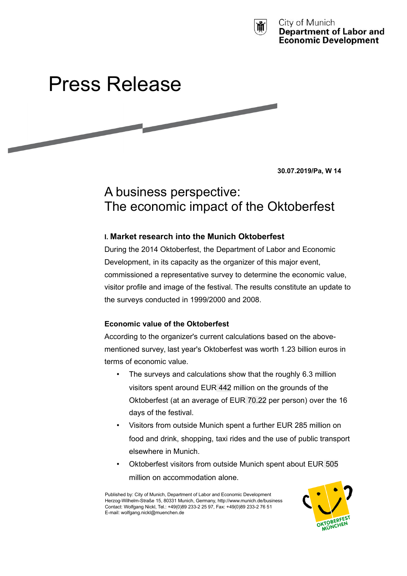



**30.07.2019/Pa, W 14**

# A business perspective: The economic impact of the Oktoberfest

# **I. Market research into the Munich Oktoberfest**

During the 2014 Oktoberfest, the Department of Labor and Economic Development, in its capacity as the organizer of this major event, commissioned a representative survey to determine the economic value, visitor profile and image of the festival. The results constitute an update to the surveys conducted in 1999/2000 and 2008.

# **Economic value of the Oktoberfest**

According to the organizer's current calculations based on the abovementioned survey, last year's Oktoberfest was worth 1.23 billion euros in terms of economic value.

- The surveys and calculations show that the roughly 6.3 million visitors spent around EUR 442 million on the grounds of the Oktoberfest (at an average of EUR 70.22 per person) over the 16 days of the festival.
- Visitors from outside Munich spent a further EUR 285 million on food and drink, shopping, taxi rides and the use of public transport elsewhere in Munich.
- Oktoberfest visitors from outside Munich spent about EUR 505 million on accommodation alone.

Published by: City of Munich, Department of Labor and Economic Development Herzog-Wilhelm-Straße 15, 80331 Munich, Germany, http://www.munich.de/business Contact: Wolfgang Nickl, Tel.: +49(0)89 233-2 25 97, Fax: +49(0)89 233-2 76 51 E-mail: wolfgang.nickl@muenchen.de

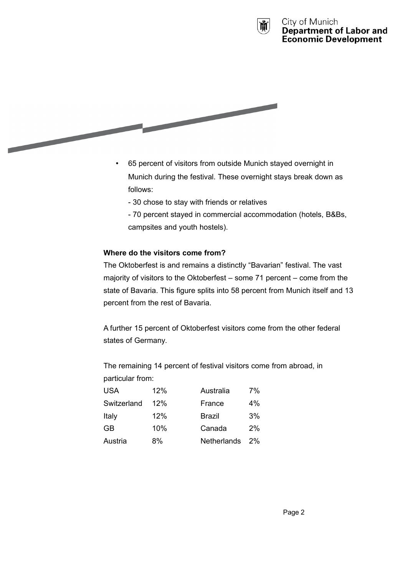



- 65 percent of visitors from outside Munich stayed overnight in Munich during the festival. These overnight stays break down as follows:
	- 30 chose to stay with friends or relatives
	- 70 percent stayed in commercial accommodation (hotels, B&Bs, campsites and youth hostels).

# **Where do the visitors come from?**

The Oktoberfest is and remains a distinctly "Bavarian" festival. The vast majority of visitors to the Oktoberfest – some 71 percent – come from the state of Bavaria. This figure splits into 58 percent from Munich itself and 13 percent from the rest of Bavaria.

A further 15 percent of Oktoberfest visitors come from the other federal states of Germany.

The remaining 14 percent of festival visitors come from abroad, in particular from:

| <b>USA</b>  | 12% | Australia          | 7%    |
|-------------|-----|--------------------|-------|
| Switzerland | 12% | France             | $4\%$ |
| Italy       | 12% | <b>Brazil</b>      | 3%    |
| GB.         | 10% | Canada             | 2%    |
| Austria     | 8%  | <b>Netherlands</b> | 2%    |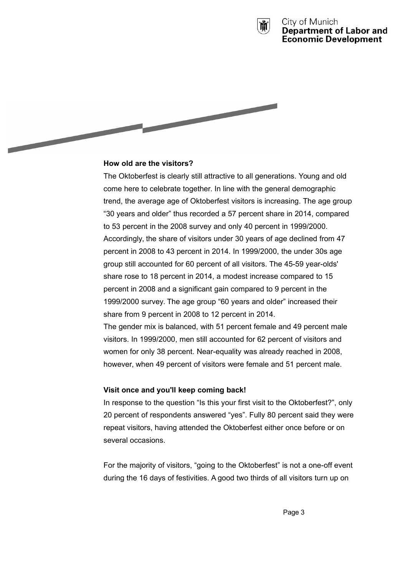



# **How old are the visitors?**

The Oktoberfest is clearly still attractive to all generations. Young and old come here to celebrate together. In line with the general demographic trend, the average age of Oktoberfest visitors is increasing. The age group "30 years and older" thus recorded a 57 percent share in 2014, compared to 53 percent in the 2008 survey and only 40 percent in 1999/2000. Accordingly, the share of visitors under 30 years of age declined from 47 percent in 2008 to 43 percent in 2014. In 1999/2000, the under 30s age group still accounted for 60 percent of all visitors. The 45-59 year-olds' share rose to 18 percent in 2014, a modest increase compared to 15 percent in 2008 and a significant gain compared to 9 percent in the 1999/2000 survey. The age group "60 years and older" increased their share from 9 percent in 2008 to 12 percent in 2014.

The gender mix is balanced, with 51 percent female and 49 percent male visitors. In 1999/2000, men still accounted for 62 percent of visitors and women for only 38 percent. Near-equality was already reached in 2008, however, when 49 percent of visitors were female and 51 percent male.

# **Visit once and you'll keep coming back!**

In response to the question "Is this your first visit to the Oktoberfest?", only 20 percent of respondents answered "yes". Fully 80 percent said they were repeat visitors, having attended the Oktoberfest either once before or on several occasions.

For the majority of visitors, "going to the Oktoberfest" is not a one-off event during the 16 days of festivities. A good two thirds of all visitors turn up on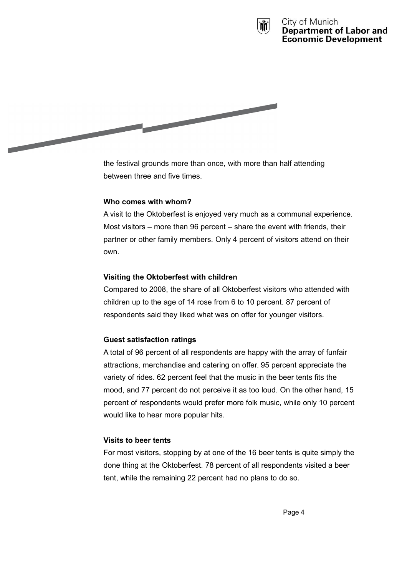



the festival grounds more than once, with more than half attending between three and five times.

# **Who comes with whom?**

A visit to the Oktoberfest is enjoyed very much as a communal experience. Most visitors – more than 96 percent – share the event with friends, their partner or other family members. Only 4 percent of visitors attend on their own.

# **Visiting the Oktoberfest with children**

Compared to 2008, the share of all Oktoberfest visitors who attended with children up to the age of 14 rose from 6 to 10 percent. 87 percent of respondents said they liked what was on offer for younger visitors.

# **Guest satisfaction ratings**

A total of 96 percent of all respondents are happy with the array of funfair attractions, merchandise and catering on offer. 95 percent appreciate the variety of rides. 62 percent feel that the music in the beer tents fits the mood, and 77 percent do not perceive it as too loud. On the other hand, 15 percent of respondents would prefer more folk music, while only 10 percent would like to hear more popular hits.

# **Visits to beer tents**

For most visitors, stopping by at one of the 16 beer tents is quite simply the done thing at the Oktoberfest. 78 percent of all respondents visited a beer tent, while the remaining 22 percent had no plans to do so.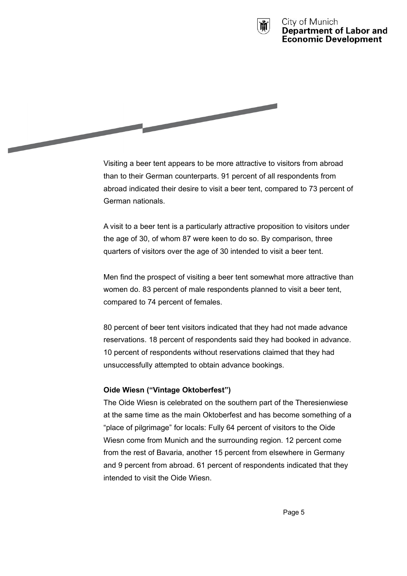



Visiting a beer tent appears to be more attractive to visitors from abroad than to their German counterparts. 91 percent of all respondents from abroad indicated their desire to visit a beer tent, compared to 73 percent of German nationals.

A visit to a beer tent is a particularly attractive proposition to visitors under the age of 30, of whom 87 were keen to do so. By comparison, three quarters of visitors over the age of 30 intended to visit a beer tent.

Men find the prospect of visiting a beer tent somewhat more attractive than women do. 83 percent of male respondents planned to visit a beer tent, compared to 74 percent of females.

80 percent of beer tent visitors indicated that they had not made advance reservations. 18 percent of respondents said they had booked in advance. 10 percent of respondents without reservations claimed that they had unsuccessfully attempted to obtain advance bookings.

# **Oide Wiesn ("Vintage Oktoberfest")**

The Oide Wiesn is celebrated on the southern part of the Theresienwiese at the same time as the main Oktoberfest and has become something of a "place of pilgrimage" for locals: Fully 64 percent of visitors to the Oide Wiesn come from Munich and the surrounding region. 12 percent come from the rest of Bavaria, another 15 percent from elsewhere in Germany and 9 percent from abroad. 61 percent of respondents indicated that they intended to visit the Oide Wiesn.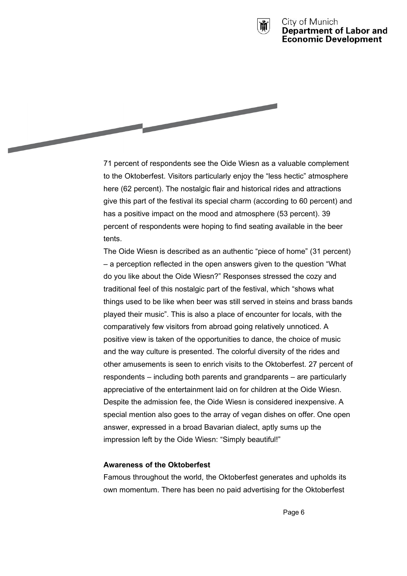



71 percent of respondents see the Oide Wiesn as a valuable complement to the Oktoberfest. Visitors particularly enjoy the "less hectic" atmosphere here (62 percent). The nostalgic flair and historical rides and attractions give this part of the festival its special charm (according to 60 percent) and has a positive impact on the mood and atmosphere (53 percent). 39 percent of respondents were hoping to find seating available in the beer tents.

The Oide Wiesn is described as an authentic "piece of home" (31 percent) – a perception reflected in the open answers given to the question "What do you like about the Oide Wiesn?" Responses stressed the cozy and traditional feel of this nostalgic part of the festival, which "shows what things used to be like when beer was still served in steins and brass bands played their music". This is also a place of encounter for locals, with the comparatively few visitors from abroad going relatively unnoticed. A positive view is taken of the opportunities to dance, the choice of music and the way culture is presented. The colorful diversity of the rides and other amusements is seen to enrich visits to the Oktoberfest. 27 percent of respondents – including both parents and grandparents – are particularly appreciative of the entertainment laid on for children at the Oide Wiesn. Despite the admission fee, the Oide Wiesn is considered inexpensive. A special mention also goes to the array of vegan dishes on offer. One open answer, expressed in a broad Bavarian dialect, aptly sums up the impression left by the Oide Wiesn: "Simply beautiful!"

#### **Awareness of the Oktoberfest**

Famous throughout the world, the Oktoberfest generates and upholds its own momentum. There has been no paid advertising for the Oktoberfest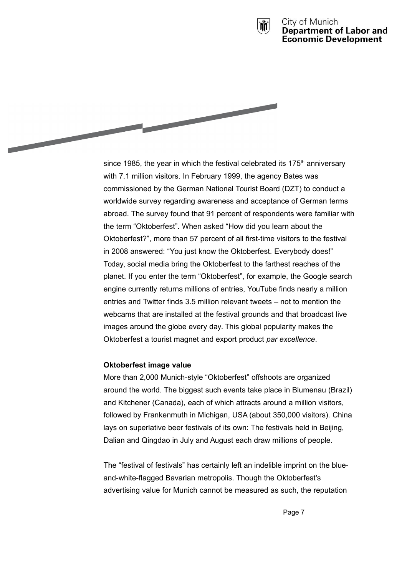



since 1985, the year in which the festival celebrated its 175<sup>th</sup> anniversary with 7.1 million visitors. In February 1999, the agency Bates was commissioned by the German National Tourist Board (DZT) to conduct a worldwide survey regarding awareness and acceptance of German terms abroad. The survey found that 91 percent of respondents were familiar with the term "Oktoberfest". When asked "How did you learn about the Oktoberfest?", more than 57 percent of all first-time visitors to the festival in 2008 answered: "You just know the Oktoberfest. Everybody does!" Today, social media bring the Oktoberfest to the farthest reaches of the planet. If you enter the term "Oktoberfest", for example, the Google search engine currently returns millions of entries, YouTube finds nearly a million entries and Twitter finds 3.5 million relevant tweets – not to mention the webcams that are installed at the festival grounds and that broadcast live images around the globe every day. This global popularity makes the Oktoberfest a tourist magnet and export product *par excellence*.

#### **Oktoberfest image value**

More than 2,000 Munich-style "Oktoberfest" offshoots are organized around the world. The biggest such events take place in Blumenau (Brazil) and Kitchener (Canada), each of which attracts around a million visitors, followed by Frankenmuth in Michigan, USA (about 350,000 visitors). China lays on superlative beer festivals of its own: The festivals held in Beijing, Dalian and Qingdao in July and August each draw millions of people.

The "festival of festivals" has certainly left an indelible imprint on the blueand-white-flagged Bavarian metropolis. Though the Oktoberfest's advertising value for Munich cannot be measured as such, the reputation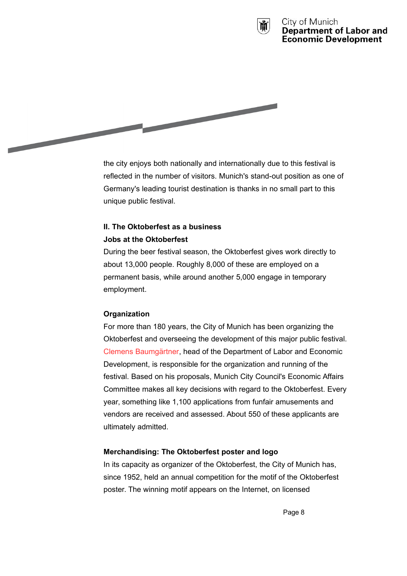



the city enjoys both nationally and internationally due to this festival is reflected in the number of visitors. Munich's stand-out position as one of Germany's leading tourist destination is thanks in no small part to this unique public festival.

# **II. The Oktoberfest as a business Jobs at the Oktoberfest**

During the beer festival season, the Oktoberfest gives work directly to about 13,000 people. Roughly 8,000 of these are employed on a permanent basis, while around another 5,000 engage in temporary employment.

# **Organization**

For more than 180 years, the City of Munich has been organizing the Oktoberfest and overseeing the development of this major public festival. Clemens Baumgärtner, head of the Department of Labor and Economic Development, is responsible for the organization and running of the festival. Based on his proposals, Munich City Council's Economic Affairs Committee makes all key decisions with regard to the Oktoberfest. Every year, something like 1,100 applications from funfair amusements and vendors are received and assessed. About 550 of these applicants are ultimately admitted.

# **Merchandising: The Oktoberfest poster and logo**

In its capacity as organizer of the Oktoberfest, the City of Munich has, since 1952, held an annual competition for the motif of the Oktoberfest poster. The winning motif appears on the Internet, on licensed